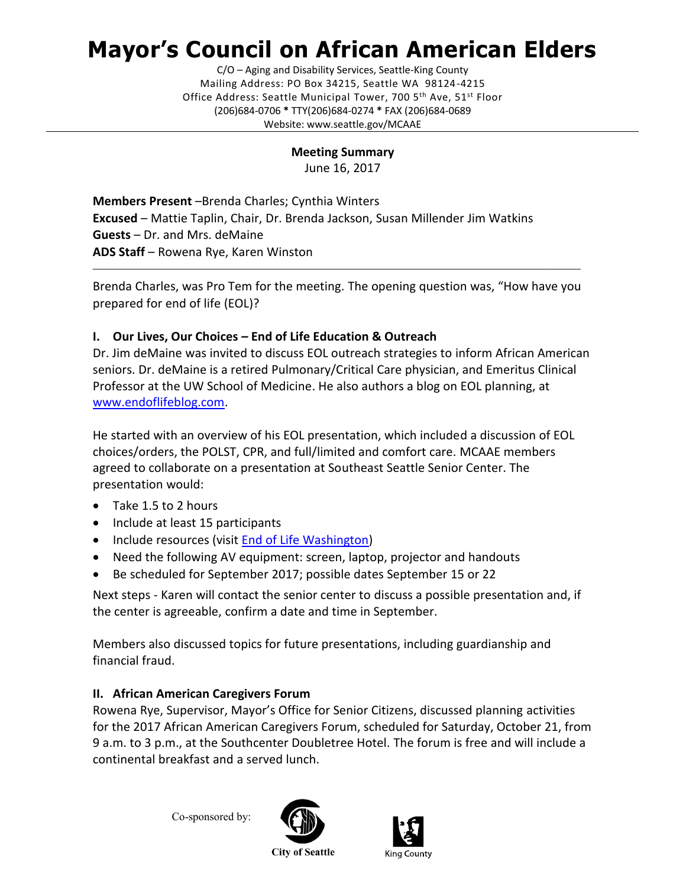# **Mayor's Council on African American Elders**

C/O – Aging and Disability Services, Seattle-King County Mailing Address: PO Box 34215, Seattle WA 98124-4215 Office Address: Seattle Municipal Tower, 700 5<sup>th</sup> Ave, 51<sup>st</sup> Floor (206)684-0706 **\*** TTY(206)684-0274 **\*** FAX (206)684-0689 Website: www.seattle.gov/MCAAE

#### **Meeting Summary**

June 16, 2017

**Members Present** –Brenda Charles; Cynthia Winters **Excused** – Mattie Taplin, Chair, Dr. Brenda Jackson, Susan Millender Jim Watkins **Guests** – Dr. and Mrs. deMaine **ADS Staff** – Rowena Rye, Karen Winston

Brenda Charles, was Pro Tem for the meeting. The opening question was, "How have you prepared for end of life (EOL)?

\_\_\_\_\_\_\_\_\_\_\_\_\_\_\_\_\_\_\_\_\_\_\_\_\_\_\_\_\_\_\_\_\_\_\_\_\_\_\_\_\_\_\_\_\_\_\_\_\_\_\_\_\_\_\_\_\_\_\_\_\_\_\_\_\_\_\_\_\_\_\_\_\_\_\_\_\_\_\_\_\_\_\_\_\_\_\_\_\_\_\_\_\_\_\_\_\_\_\_\_\_\_\_\_\_\_\_\_\_\_

## **I. Our Lives, Our Choices – End of Life Education & Outreach**

Dr. Jim deMaine was invited to discuss EOL outreach strategies to inform African American seniors. Dr. deMaine is a retired Pulmonary/Critical Care physician, and Emeritus Clinical Professor at the UW School of Medicine. He also authors a blog on EOL planning, at [www.endoflifeblog.com.](http://www.endoflifeblog.com/)

He started with an overview of his EOL presentation, which included a discussion of EOL choices/orders, the POLST, CPR, and full/limited and comfort care. MCAAE members agreed to collaborate on a presentation at Southeast Seattle Senior Center. The presentation would:

- Take 1.5 to 2 hours
- Include at least 15 participants
- Include resources (visit [End of Life Washington\)](http://endoflifewa.org/)
- Need the following AV equipment: screen, laptop, projector and handouts
- Be scheduled for September 2017; possible dates September 15 or 22

Next steps - Karen will contact the senior center to discuss a possible presentation and, if the center is agreeable, confirm a date and time in September.

Members also discussed topics for future presentations, including guardianship and financial fraud.

## **II. African American Caregivers Forum**

Rowena Rye, Supervisor, Mayor's Office for Senior Citizens, discussed planning activities for the 2017 African American Caregivers Forum, scheduled for Saturday, October 21, from 9 a.m. to 3 p.m., at the Southcenter Doubletree Hotel. The forum is free and will include a continental breakfast and a served lunch.

Co-sponsored by:





**City of Seattle**